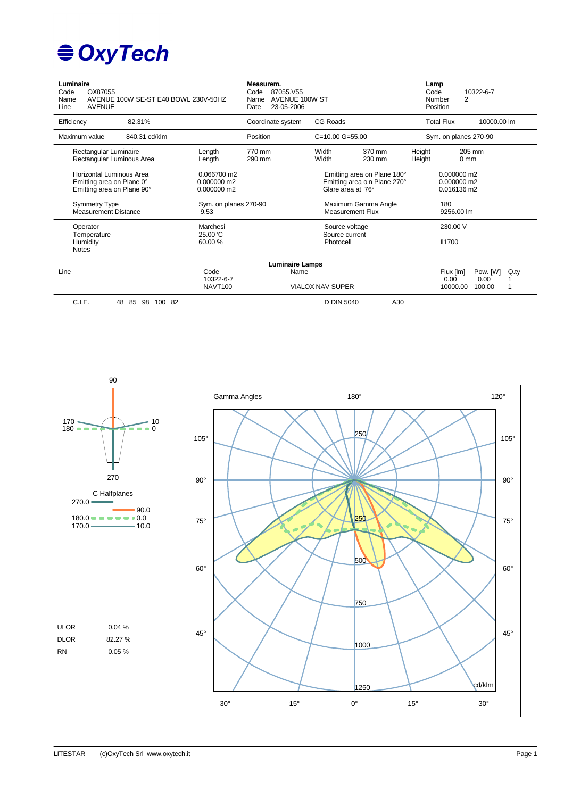# **€ OxyTech**

| Luminaire<br>OX87055<br>Code<br>Name<br>Line<br><b>AVENUE</b>                       | AVENUE 100W SE-ST E40 BOWL 230V-50HZ |                                           | Measurem.<br>87055.V55<br>Code<br>AVENUE 100W ST<br>Name<br>23-05-2006<br>Date |                                                                                  |                  | Lamp<br>Code     | 10322-6-7<br>$\overline{2}$<br>Number<br>Position           |                  |
|-------------------------------------------------------------------------------------|--------------------------------------|-------------------------------------------|--------------------------------------------------------------------------------|----------------------------------------------------------------------------------|------------------|------------------|-------------------------------------------------------------|------------------|
| Efficiency                                                                          | 82.31%                               |                                           | Coordinate system                                                              | CG Roads                                                                         |                  |                  | <b>Total Flux</b><br>10000.00 lm                            |                  |
| Maximum value                                                                       | 840.31 cd/klm                        |                                           | Position                                                                       | $C = 10.00$ $G = 55.00$                                                          |                  |                  | Sym. on planes 270-90                                       |                  |
| Rectangular Luminaire<br>Rectangular Luminous Area                                  |                                      | Length<br>Length                          | 770 mm<br>290 mm                                                               | Width<br>Width                                                                   | 370 mm<br>230 mm | Height<br>Height | 205 mm<br>0 <sub>mm</sub>                                   |                  |
| Horizontal Luminous Area<br>Emitting area on Plane 0°<br>Emitting area on Plane 90° |                                      | 0.066700 m2<br>0.000000 m2<br>0.000000 m2 |                                                                                | Emitting area on Plane 180°<br>Emitting area o n Plane 270°<br>Glare area at 76° |                  |                  | 0.000000 m2<br>$0.000000$ m2<br>0.016136 m2                 |                  |
| Symmetry Type<br><b>Measurement Distance</b>                                        |                                      | Sym. on planes 270-90<br>9.53             |                                                                                | Maximum Gamma Angle<br><b>Measurement Flux</b>                                   |                  |                  | 180<br>9256.00 lm                                           |                  |
| Operator<br>Temperature<br>Humidity<br><b>Notes</b>                                 |                                      | Marchesi<br>25.00 °C<br>60.00%            |                                                                                | Source voltage<br>Source current<br>Photocell                                    |                  |                  | 230.00 V<br><b>II1700</b>                                   |                  |
| Line                                                                                |                                      | Code<br>10322-6-7<br><b>NAVT100</b>       | <b>Luminaire Lamps</b><br>Name                                                 | <b>VIALOX NAV SUPER</b>                                                          |                  |                  | Pow. [W]<br>Flux [lm]<br>0.00<br>0.00<br>100.00<br>10000.00 | $Q_{\text{.}ty}$ |
| C.I.E.                                                                              | 48<br>85<br>98<br>100 82             |                                           |                                                                                | D DIN 5040                                                                       | A30              |                  |                                                             |                  |

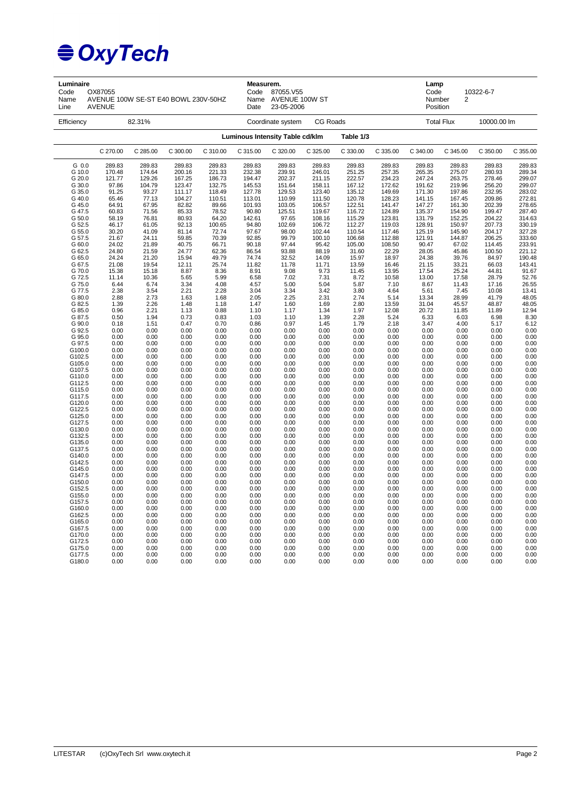| Luminaire<br>Code<br>Name<br>Line | OX87055<br>AVENUE 100W SE-ST E40 BOWL 230V-50HZ<br><b>AVENUE</b> |                |                |                 |                                 | Measurem.<br>87055.V55<br>Name AVENUE 100W ST<br>23-05-2006 |                  |                  | Lamp<br>Code<br>10322-6-7<br>Number<br>$\overline{2}$<br>Position |                  |                   |                  |                                                |
|-----------------------------------|------------------------------------------------------------------|----------------|----------------|-----------------|---------------------------------|-------------------------------------------------------------|------------------|------------------|-------------------------------------------------------------------|------------------|-------------------|------------------|------------------------------------------------|
| Efficiency                        |                                                                  | 82.31%         |                |                 |                                 | CG Roads<br>Coordinate system                               |                  |                  |                                                                   |                  | <b>Total Flux</b> | 10000.00 lm      |                                                |
|                                   |                                                                  |                |                |                 | Luminous Intensity Table cd/klm |                                                             |                  | Table 1/3        |                                                                   |                  |                   |                  |                                                |
|                                   | C 270.00                                                         | C 285.00       | C 300.00       | C 310.00        | C 315.00                        | C 320.00                                                    | C 325.00         | C 330.00         | C 335.00                                                          | C 340.00         | C 345.00          | C 350.00         | C 355.00                                       |
| G 0.0                             | 289.83                                                           | 289.83         | 289.83         | 289.83          | 289.83                          | 289.83                                                      | 289.83           | 289.83           | 289.83                                                            | 289.83           | 289.83            | 289.83           | 289.83                                         |
| G 10.0                            | 170.48                                                           | 174.64         | 200.16         | 221.33          | 232.38                          | 239.91                                                      | 246.01           | 251.25           | 257.35                                                            | 265.35           | 275.07            | 280.93           | 289.34                                         |
| G 20.0                            | 121.77                                                           | 129.26         | 167.25         | 186.73          | 194.47                          | 202.37                                                      | 211.15           | 222.57           | 234.23                                                            | 247.24           | 263.75            | 278.46           | 299.07                                         |
| G 30.0                            | 97.86                                                            | 104.79         | 123.47         | 132.75          | 145.53                          | 151.64                                                      | 158.11           | 167.12           | 172.62                                                            | 191.62           | 219.96            | 256.20           | 299.07                                         |
| G 35.0                            | 91.25                                                            | 93.27          | 111.17         | 118.49          | 127.78                          | 129.53                                                      | 123.40           | 135.12           | 149.69                                                            | 171.30           | 197.86            | 232.95           | 283.02                                         |
| G 40.0                            | 65.46                                                            | 77.13          | 104.27         | 110.51          | 113.01                          | 110.99                                                      | 111.50           | 120.78           | 128.23                                                            | 141.15           | 167.45            | 209.86           | 272.81                                         |
| G 45.0                            | 64.91                                                            | 67.95          | 82.82          | 89.66           | 101.93                          | 103.05                                                      | 106.57           | 122.51           | 141.47                                                            | 147.27           | 161.30            | 202.39           | 278.65                                         |
| G 47.5                            | 60.83                                                            | 71.56          | 85.33          | 78.52           | 90.80                           | 125.51                                                      | 119.67           | 116.72           | 124.89                                                            | 135.37           | 154.90            | 199.47           | 287.40                                         |
| G 50.0<br>G 52.5                  | 58.19                                                            | 76.81<br>61.05 | 80.93<br>92.13 | 64.20<br>100.65 | 142.61<br>94.80                 | 97.65                                                       | 108.16<br>106.72 | 115.29<br>112.27 | 123.81                                                            | 131.79<br>128.91 | 152.25            | 204.22<br>207.73 | 314.63                                         |
| G 55.0                            | 46.17<br>30.20                                                   | 41.09          | 81.14          | 72.74           | 97.67                           | 102.69<br>98.00                                             | 102.44           | 110.54           | 119.03<br>117.46                                                  | 125.19           | 150.97<br>145.90  | 204.17           | 330.19<br>327.28                               |
|                                   | 21.67                                                            | 24.11          |                | 70.39           | 92.85                           | 99.79                                                       | 100.10           |                  |                                                                   |                  | 144.87            | 206.25           |                                                |
| G 57.5<br>G 60.0                  | 24.02                                                            | 21.89          | 59.85          | 66.71           | 90.18                           | 97.44                                                       | 95.42            | 106.68<br>105.00 | 112.88<br>108.50                                                  | 121.91<br>90.47  | 67.02             | 114.45           | 333.60                                         |
| G 62.5                            | 24.80                                                            | 21.59          | 40.75<br>24.77 | 62.36           | 86.54                           | 93.88                                                       | 88.19            | 31.60            | 22.29                                                             | 28.05            | 45.86             | 100.50           | 233.91<br>221.12                               |
| G 65.0                            | 24.24                                                            | 21.20          | 15.94          | 49.79           | 74.74                           | 32.52                                                       | 14.09            | 15.97            | 18.97                                                             | 24.38            | 39.76             | 84.97            | 190.48                                         |
| G 67.5                            | 21.08                                                            | 19.54          | 12.11          | 25.74           | 11.82                           | 11.78                                                       | 11.71            | 13.59            | 16.46                                                             | 21.15            | 33.21             | 66.03            | 143.41                                         |
| G 70.0                            | 15.38                                                            | 15.18          | 8.87           | 8.36            | 8.91                            | 9.08                                                        | 9.73             | 11.45            | 13.95                                                             | 17.54            | 25.24             | 44.81            | 91.67                                          |
| G 72.5                            | 11.14                                                            | 10.36          | 5.65           | 5.99            | 6.58                            | 7.02                                                        | 7.31             | 8.72             | 10.58                                                             | 13.00            | 17.58             | 28.79            | 52.76                                          |
| G 75.0                            | 6.44                                                             | 6.74           | 3.34           | 4.08            | 4.57                            | 5.00                                                        | 5.04             | 5.87             | 7.10                                                              | 8.67             | 11.43             | 17.16            | 26.55                                          |
| G 77.5                            | 2.38                                                             | 3.54           | 2.21           | 2.28            | 3.04                            | 3.34                                                        | 3.42             | 3.80             | 4.64                                                              | 5.61             | 7.45              | 10.08            | 13.41                                          |
| G 80.0                            | 2.88                                                             | 2.73           | 1.63           | 1.68            | 2.05                            | 2.25                                                        | 2.31             | 2.74             | 5.14                                                              | 13.34            | 28.99             | 41.79            | 48.05                                          |
| G 82.5                            | 1.39                                                             | 2.26           | 1.48           | 1.18            | 1.47                            | 1.60                                                        | 1.69             | 2.80             | 13.59                                                             | 31.04            | 45.57             | 48.87            | 48.05                                          |
| G 85.0                            | 0.96                                                             | 2.21           | 1.13           | 0.88            | 1.10                            | 1.17                                                        | 1.34             | 1.97             | 12.08                                                             | 20.72            | 11.85             | 11.89            | 12.94                                          |
| G 87.5                            | 0.50                                                             | 1.94           | 0.73           | 0.83            | 1.03                            | 1.10                                                        | 1.39             | 2.28             | 5.24                                                              | 6.33             | 6.03              | 6.98             | 8.30                                           |
| G 90.0                            | 0.18                                                             | 1.51           | 0.47           | 0.70            | 0.86                            | 0.97                                                        | 1.45             | 1.79             | 2.18                                                              | 3.47             | 4.00              | 5.17             | 6.12                                           |
| G 92.5                            | 0.00                                                             | 0.00           | 0.00           | 0.00            | 0.00                            | 0.00                                                        | 0.00             | 0.00             | 0.00                                                              | 0.00             | 0.00              | 0.00             | 0.00                                           |
| G 95.0                            | 0.00                                                             | 0.00           | 0.00           | 0.00            | 0.00                            | 0.00                                                        | 0.00             | 0.00             | 0.00                                                              | 0.00             | 0.00              | 0.00             | 0.00                                           |
| G 97.5                            | 0.00                                                             | 0.00           | 0.00           | 0.00            | 0.00                            | 0.00                                                        | 0.00             | 0.00             | 0.00                                                              | 0.00             | 0.00              | 0.00             | 0.00                                           |
| G100.0                            | 0.00                                                             | 0.00           | 0.00           | 0.00            | 0.00                            | 0.00                                                        | 0.00             | 0.00             | 0.00                                                              | 0.00             | 0.00              | 0.00             | 0.00                                           |
| G102.5                            | 0.00                                                             | 0.00           | 0.00           | 0.00            | 0.00                            | 0.00                                                        | 0.00             | 0.00             | 0.00                                                              | 0.00             | 0.00              | 0.00             | 0.00                                           |
| G105.0                            | 0.00                                                             | 0.00           | 0.00           | 0.00            | 0.00                            | 0.00                                                        | 0.00             | 0.00             | 0.00                                                              | 0.00             | 0.00              | 0.00             | 0.00                                           |
| G107.5                            | 0.00                                                             | 0.00           | 0.00           | 0.00            | 0.00                            | 0.00                                                        | 0.00             | 0.00             | 0.00                                                              | 0.00             | 0.00              | 0.00             | 0.00                                           |
| G110.0                            | 0.00                                                             | 0.00           | 0.00           | 0.00            | 0.00                            | 0.00                                                        | 0.00             | 0.00             | 0.00                                                              | 0.00             | 0.00              | 0.00             | 0.00                                           |
| G112.5                            | 0.00                                                             | 0.00           | 0.00           | 0.00            | 0.00                            | 0.00                                                        | 0.00             | 0.00             | 0.00                                                              | 0.00             | 0.00              | 0.00             | 0.00                                           |
| G115.0                            | 0.00                                                             | 0.00           | 0.00           | 0.00            | 0.00                            | 0.00                                                        | 0.00             | 0.00             | 0.00                                                              | 0.00             | 0.00              | 0.00             | 0.00                                           |
| G117.5                            | 0.00                                                             | 0.00           | 0.00           | 0.00            | 0.00                            | 0.00                                                        | 0.00             | 0.00             | 0.00                                                              | 0.00             | 0.00              | 0.00             | 0.00                                           |
| G120.0                            | 0.00                                                             | 0.00           | 0.00           | 0.00            | 0.00                            | 0.00                                                        | 0.00             | 0.00             | 0.00                                                              | 0.00             | 0.00              | 0.00             | 0.00                                           |
| G122.5                            | 0.00                                                             | 0.00           | 0.00           | 0.00            | 0.00                            | 0.00                                                        | 0.00             | 0.00             | 0.00                                                              | 0.00             | 0.00              | 0.00             | 0.00                                           |
| G125.0                            | 0.00                                                             | 0.00           | 0.00           | 0.00            | 0.00                            | 0.00                                                        | 0.00             | 0.00             | 0.00                                                              | 0.00             | 0.00              | 0.00             | 0.00                                           |
| G127.5                            | 0.00                                                             | 0.00           | 0.00           | 0.00            | 0.00                            | 0.00                                                        | 0.00             | 0.00             | 0.00                                                              | 0.00             | 0.00              | 0.00             | 0.00                                           |
| G130.0                            | 0.00                                                             | 0.00           | 0.00           | 0.00            | 0.00                            | 0.00                                                        | 0.00             | 0.00             | 0.00                                                              | 0.00             | 0.00              | 0.00             | 0.00                                           |
| G132.5                            | 0.00                                                             | 0.00           | 0.00           | 0.00            | 0.00                            | 0.00                                                        | 0.00             | 0.00             | 0.00                                                              | 0.00             | 0.00              | 0.00             | 0.00                                           |
| G135.0                            | 0.00                                                             | 0.00           | 0.00           | 0.00            | 0.00                            | 0.00                                                        | 0.00             | 0.00             | 0.00                                                              | 0.00             | 0.00              | 0.00             | 0.00                                           |
| G137.5                            | 0.00                                                             | 0.00           | 0.00           | 0.00            | 0.00                            | 0.00                                                        | 0.00             | 0.00             | 0.00                                                              | 0.00             | 0.00              | 0.00             | 0.00                                           |
| G140.0                            | 0.00                                                             | 0.00           | 0.00           | 0.00            | 0.00                            | 0.00                                                        | 0.00             | 0.00             | 0.00                                                              | 0.00             | 0.00              | 0.00             | $0.00$<br>0.00<br>0.00<br>0.00<br>0.00<br>0.00 |
| G142.5                            | 0.00                                                             | 0.00           | 0.00           | 0.00            | 0.00                            | 0.00                                                        | 0.00             | 0.00             | 0.00                                                              | 0.00             | 0.00              | 0.00             |                                                |
| G145.0                            | 0.00                                                             | 0.00           | 0.00           | 0.00            | 0.00                            | 0.00                                                        | 0.00             | 0.00             | 0.00                                                              | 0.00             | 0.00              | 0.00             |                                                |
| G147.5                            | 0.00                                                             | 0.00           | 0.00           | 0.00            | 0.00                            | 0.00                                                        | 0.00             | 0.00             | 0.00                                                              | 0.00             | 0.00              | 0.00             |                                                |
| G150.0                            | 0.00                                                             | 0.00           | 0.00           | 0.00            | 0.00                            | 0.00                                                        | 0.00             | 0.00             | 0.00                                                              | 0.00             | 0.00              | 0.00             |                                                |
| G152.5                            | 0.00                                                             | 0.00           | 0.00           | 0.00            | 0.00                            | 0.00                                                        | 0.00             | 0.00             | 0.00                                                              | 0.00             | 0.00              | 0.00             | 0.00                                           |
| G155.0                            | 0.00                                                             | 0.00           | 0.00           | 0.00            | 0.00                            | 0.00                                                        | 0.00             | 0.00             | 0.00                                                              | 0.00             | 0.00              | 0.00             | 0.00                                           |
| G157.5                            | 0.00                                                             | 0.00           | 0.00           | 0.00            | 0.00                            | 0.00                                                        | 0.00             | 0.00             | 0.00                                                              | 0.00             | 0.00              | 0.00             | 0.00                                           |
| G160.0                            | 0.00                                                             | 0.00           | 0.00           | 0.00            | 0.00                            | 0.00                                                        | 0.00             | 0.00             | 0.00                                                              | 0.00             | 0.00              | 0.00             | 0.00                                           |
| G162.5                            | 0.00                                                             | 0.00           | 0.00           | 0.00            | 0.00                            | 0.00                                                        | 0.00             | 0.00             | 0.00                                                              | 0.00             | 0.00              | 0.00             | 0.00                                           |
| G165.0                            | 0.00                                                             | 0.00           | 0.00           | 0.00            | 0.00                            | 0.00                                                        | 0.00             | 0.00             | 0.00                                                              | 0.00             | 0.00              | 0.00             | 0.00                                           |
| G167.5                            | 0.00                                                             | 0.00           | 0.00           | 0.00            | 0.00                            | 0.00                                                        | 0.00             | 0.00             | 0.00                                                              | 0.00             | 0.00              | 0.00             | 0.00                                           |
| G170.0                            | 0.00                                                             | 0.00           | 0.00           | 0.00            | 0.00                            | 0.00                                                        | 0.00             | 0.00             | 0.00                                                              | 0.00             | 0.00              | 0.00             | 0.00                                           |
| G172.5                            | 0.00                                                             | 0.00           | 0.00           | 0.00            | 0.00                            | 0.00                                                        | 0.00             | 0.00             | 0.00                                                              | 0.00             | 0.00              | 0.00             | 0.00                                           |
| G175.0                            | 0.00                                                             | 0.00           | 0.00           | 0.00            | 0.00                            | 0.00                                                        | 0.00             | 0.00             | 0.00                                                              | 0.00             | 0.00              | 0.00             | 0.00                                           |
| G177.5                            | 0.00                                                             | 0.00           | 0.00           | 0.00            | 0.00                            | 0.00                                                        | 0.00             | 0.00             | 0.00                                                              | 0.00             | 0.00              | 0.00             | 0.00                                           |
| G180.0                            | 0.00                                                             | 0.00           | 0.00           | 0.00            | 0.00                            | 0.00                                                        | 0.00             | 0.00             | 0.00                                                              | 0.00             | 0.00              | 0.00             | 0.00                                           |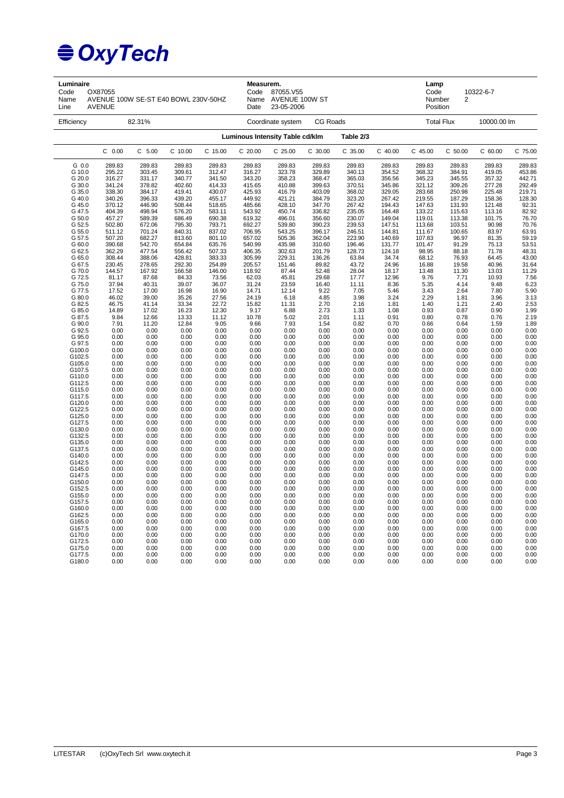| Luminaire<br>Code<br>Name<br>Line              | OX87055<br>AVENUE 100W SE-ST E40 BOWL 230V-50HZ<br><b>AVENUE</b> |                                      |                                      |                                      | Measurem.<br>Code<br>Date                    | 87055.V55<br>Name AVENUE 100W ST<br>23-05-2006 |                                      |                                      |                                      | Lamp<br>Code<br>10322-6-7<br>Number<br>2<br>Position |                                      |                                      |                                                        |
|------------------------------------------------|------------------------------------------------------------------|--------------------------------------|--------------------------------------|--------------------------------------|----------------------------------------------|------------------------------------------------|--------------------------------------|--------------------------------------|--------------------------------------|------------------------------------------------------|--------------------------------------|--------------------------------------|--------------------------------------------------------|
| Efficiency                                     |                                                                  | 82.31%                               |                                      |                                      |                                              | Coordinate system                              | CG Roads                             |                                      |                                      |                                                      | <b>Total Flux</b>                    | 10000.00 lm                          |                                                        |
|                                                |                                                                  |                                      |                                      |                                      | Luminous Intensity Table cd/klm<br>Table 2/3 |                                                |                                      |                                      |                                      |                                                      |                                      |                                      |                                                        |
|                                                | $C$ 0.00                                                         | $C$ 5.00                             | C 10.00                              | C 15.00                              | C 20.00                                      | C 25.00                                        | C 30.00                              | C 35.00                              | $C$ 40.00                            | C 45.00                                              | $C$ 50.00                            | $C$ 60.00                            | C 75.00                                                |
| G 0.0                                          | 289.83                                                           | 289.83                               | 289.83                               | 289.83                               | 289.83                                       | 289.83                                         | 289.83                               | 289.83                               | 289.83                               | 289.83                                               | 289.83                               | 289.83                               | 289.83                                                 |
| G 10.0                                         | 295.22                                                           | 303.45                               | 309.61                               | 312.47                               | 316.27                                       | 323.78                                         | 329.89                               | 340.13                               | 354.52                               | 368.32                                               | 384.91                               | 419.05                               | 453.86                                                 |
| G 20.0                                         | 316.27                                                           | 331.17                               | 340.77                               | 341.50                               | 343.20                                       | 358.23                                         | 368.47                               | 365.03                               | 356.56                               | 345.23                                               | 345.55                               | 357.32                               | 442.71                                                 |
| G 30.0                                         | 341.24                                                           | 378.82                               | 402.60                               | 414.33                               | 415.65                                       | 410.88                                         | 399.63                               | 370.51                               | 345.86                               | 321.12                                               | 309.26                               | 277.28                               | 292.49                                                 |
| G 35.0                                         | 338.30                                                           | 384.17                               | 419.41                               | 430.07                               | 425.93                                       | 416.79                                         | 403.09                               | 368.02                               | 329.05                               | 283.68                                               | 250.98                               | 225.48                               | 219.71                                                 |
| G 40.0                                         | 340.26                                                           | 396.33                               | 439.20                               | 455.17                               | 449.92                                       | 421.21                                         | 384.79                               | 323.20                               | 267.42                               | 219.55                                               | 187.29                               | 158.36                               | 128.30                                                 |
| G 45.0                                         | 370.12                                                           | 446.90                               | 508.44                               | 518.65                               | 485.66                                       | 428.10                                         | 347.70                               | 267.42                               | 194.43                               | 147.63                                               | 131.93                               | 121.48                               | 92.31                                                  |
| G 47.5                                         | 404.39                                                           | 498.94                               | 576.20                               | 583.11                               | 543.92                                       | 450.74                                         | 336.82                               | 235.05                               | 164.48                               | 133.22                                               | 115.63                               | 113.16                               | 82.92                                                  |
| G 50.0                                         | 457.27                                                           | 589.39                               | 686.49                               | 690.38                               | 619.32                                       | 496.01                                         | 356.60                               | 230.07                               | 149.04                               | 119.01                                               | 113.38                               | 101.75                               | 76.70                                                  |
| G 52.5                                         | 502.80                                                           | 672.06                               | 795.30                               | 793.71                               | 692.27                                       | 539.80                                         | 390.23                               | 239.53                               | 147.51                               | 113.68                                               | 103.51                               | 90.98                                | 70.76                                                  |
| G 55.0                                         | 511.12                                                           | 701.24                               | 840.31                               | 837.02                               | 706.95                                       | 543.25                                         | 396.17                               | 246.51                               | 144.81                               | 111.67                                               | 100.65                               | 83.97                                | 63.91                                                  |
| G 57.5                                         | 507.20                                                           | 682.27                               | 813.60                               | 801.10                               | 657.02                                       | 505.36                                         | 362.04                               | 223.90                               | 140.69                               | 107.83                                               | 96.97                                | 81.35                                | 59.19                                                  |
| G 60.0                                         | 390.68                                                           | 542.70                               | 654.84                               | 635.76                               | 540.99                                       | 435.98                                         | 310.60                               | 196.46                               | 131.77                               | 101.47                                               | 91.29                                | 75.13                                | 53.51                                                  |
| G 62.5                                         | 362.29                                                           | 477.54                               | 556.42                               | 507.33                               | 406.35                                       | 302.63                                         | 201.79                               | 128.73                               | 124.18                               | 98.95                                                | 88.18                                | 71.78                                | 48.31                                                  |
| G 65.0                                         | 308.44                                                           | 388.06                               | 428.81                               | 383.33                               | 305.99                                       | 229.31                                         | 136.26                               | 63.84                                | 34.74                                | 68.12                                                | 76.93                                | 64.45                                | 43.00                                                  |
| G 67.5                                         | 230.45                                                           | 278.65                               | 292.30                               | 254.89                               | 205.57                                       | 151.46                                         | 89.82                                | 43.72                                | 24.96                                | 16.88                                                | 19.58                                | 40.96                                | 31.64                                                  |
| G 70.0                                         | 144.57                                                           | 167.92                               | 166.58                               | 146.00                               | 118.92                                       | 87.44                                          | 52.48                                | 28.04                                | 18.17                                | 13.48                                                | 11.30                                | 13.03                                | 11.29                                                  |
| G 72.5                                         | 81.17                                                            | 87.68                                | 84.33                                | 73.56                                | 62.03                                        | 45.81                                          | 29.68                                | 17.77                                | 12.96                                | 9.76                                                 | 7.71                                 | 10.93                                | 7.56                                                   |
| G 75.0                                         | 37.94                                                            | 40.31                                | 39.07                                | 36.07                                | 31.24                                        | 23.59                                          | 16.40                                | 11.11                                | 8.36                                 | 5.35                                                 | 4.14                                 | 9.48                                 | 6.23                                                   |
| G 77.5                                         | 17.52                                                            | 17.00                                | 16.98                                | 16.90                                | 14.71                                        | 12.14                                          | 9.22                                 | 7.05                                 | 5.46                                 | 3.43                                                 | 2.64                                 | 7.80                                 | 5.90                                                   |
| G 80.0                                         | 46.02                                                            | 39.00                                | 35.26                                | 27.56                                | 24.19                                        | 6.18                                           | 4.85                                 | 3.98                                 | 3.24                                 | 2.29                                                 | 1.81                                 | 3.96                                 | 3.13                                                   |
| G 82.5                                         | 46.75                                                            | 41.14                                | 33.34                                | 22.72                                | 15.82                                        | 11.31                                          | 2.70                                 | 2.16                                 | 1.81                                 | 1.40                                                 | 1.21                                 | 2.40                                 | 2.53                                                   |
| G 85.0                                         | 14.89                                                            | 17.02                                | 16.23                                | 12.30                                | 9.17                                         | 6.88                                           | 2.73                                 | 1.33                                 | 1.08                                 | 0.93                                                 | 0.87                                 | 0.90                                 | 1.99                                                   |
| G 87.5                                         | 9.84                                                             | 12.66                                | 13.33                                | 11.12                                | 10.78                                        | 5.02                                           | 2.01                                 | 1.11                                 | 0.91                                 | 0.80                                                 | 0.78                                 | 0.76                                 | 2.19                                                   |
| G 90.0                                         | 7.91                                                             | 11.20                                | 12.84                                | 9.05                                 | 9.66                                         | 7.93                                           | 1.54                                 | 0.82                                 | 0.70                                 | 0.66                                                 | 0.64                                 | 1.59                                 | 1.89                                                   |
| G 92.5                                         | 0.00                                                             | 0.00                                 | 0.00                                 | 0.00                                 | 0.00                                         | 0.00                                           | 0.00                                 | 0.00                                 | 0.00                                 | 0.00                                                 | 0.00                                 | 0.00                                 | 0.00                                                   |
| G 95.0                                         | 0.00                                                             | 0.00                                 | 0.00                                 | 0.00                                 | 0.00                                         | 0.00                                           | 0.00                                 | 0.00                                 | 0.00                                 | 0.00                                                 | 0.00                                 | 0.00                                 | 0.00                                                   |
| G 97.5                                         | 0.00                                                             | 0.00                                 | 0.00                                 | 0.00                                 | 0.00                                         | 0.00                                           | 0.00                                 | 0.00                                 | 0.00                                 | 0.00                                                 | 0.00                                 | 0.00                                 | 0.00                                                   |
| G100.0                                         | 0.00                                                             | 0.00                                 | 0.00                                 | 0.00                                 | 0.00                                         | 0.00                                           | 0.00                                 | 0.00                                 | 0.00                                 | 0.00                                                 | 0.00                                 | 0.00                                 | 0.00                                                   |
| G102.5                                         | 0.00                                                             | 0.00                                 | 0.00                                 | 0.00                                 | 0.00                                         | 0.00                                           | 0.00                                 | 0.00                                 | 0.00                                 | 0.00                                                 | 0.00                                 | 0.00                                 | 0.00                                                   |
| G105.0                                         | 0.00                                                             | 0.00                                 | 0.00                                 | 0.00                                 | 0.00                                         | 0.00                                           | 0.00                                 | 0.00                                 | 0.00                                 | 0.00                                                 | 0.00                                 | 0.00                                 | 0.00                                                   |
| G107.5                                         | 0.00                                                             | 0.00                                 | 0.00                                 | 0.00                                 | 0.00                                         | 0.00                                           | 0.00                                 | 0.00                                 | 0.00                                 | 0.00                                                 | 0.00                                 | 0.00                                 | 0.00                                                   |
| G110.0                                         | 0.00                                                             | 0.00                                 | 0.00                                 | 0.00                                 | 0.00                                         | 0.00                                           | 0.00                                 | 0.00                                 | 0.00                                 | 0.00                                                 | 0.00                                 | 0.00                                 | 0.00                                                   |
| G112.5                                         | 0.00                                                             | 0.00                                 | 0.00                                 | 0.00                                 | 0.00                                         | 0.00                                           | 0.00                                 | 0.00                                 | 0.00                                 | 0.00                                                 | 0.00                                 | 0.00                                 | 0.00                                                   |
| G115.0                                         | 0.00                                                             | 0.00                                 | 0.00                                 | 0.00                                 | 0.00                                         | 0.00                                           | 0.00                                 | 0.00                                 | 0.00                                 | 0.00                                                 | 0.00                                 | 0.00                                 | 0.00                                                   |
| G117.5                                         | 0.00                                                             | 0.00                                 | 0.00                                 | 0.00                                 | 0.00                                         | 0.00                                           | 0.00                                 | 0.00                                 | 0.00                                 | 0.00                                                 | 0.00                                 | 0.00                                 | 0.00                                                   |
| G120.0                                         | 0.00                                                             | 0.00                                 | 0.00                                 | 0.00                                 | 0.00                                         | 0.00                                           | 0.00                                 | 0.00                                 | 0.00                                 | 0.00                                                 | 0.00                                 | 0.00                                 | 0.00                                                   |
| G122.5                                         | 0.00                                                             | 0.00                                 | 0.00                                 | 0.00                                 | 0.00                                         | 0.00                                           | 0.00                                 | 0.00                                 | 0.00                                 | 0.00                                                 | 0.00                                 | 0.00                                 | 0.00                                                   |
| G125.0                                         | 0.00                                                             | 0.00                                 | 0.00                                 | 0.00                                 | 0.00                                         | 0.00                                           | 0.00                                 | 0.00                                 | 0.00                                 | 0.00                                                 | 0.00                                 | 0.00                                 | 0.00                                                   |
| G127.5                                         | 0.00                                                             | 0.00                                 | 0.00                                 | 0.00                                 | 0.00                                         | 0.00                                           | 0.00                                 | 0.00                                 | 0.00                                 | 0.00                                                 | 0.00                                 | 0.00                                 | 0.00                                                   |
| G130.0                                         | 0.00                                                             | 0.00                                 | 0.00                                 | 0.00                                 | 0.00                                         | 0.00                                           | 0.00                                 | 0.00                                 | 0.00                                 | 0.00                                                 | 0.00                                 | 0.00                                 | 0.00                                                   |
| G132.5                                         | 0.00                                                             | 0.00                                 | 0.00                                 | 0.00                                 | 0.00                                         | 0.00                                           | 0.00                                 | 0.00                                 | 0.00                                 | 0.00                                                 | 0.00                                 | 0.00                                 | 0.00                                                   |
| G135.0                                         | 0.00                                                             | 0.00                                 | 0.00                                 | 0.00                                 | 0.00                                         | 0.00                                           | 0.00                                 | 0.00                                 | 0.00                                 | 0.00                                                 | 0.00                                 | 0.00                                 | 0.00                                                   |
| G137.5                                         | 0.00                                                             | 0.00                                 | 0.00                                 | 0.00                                 | 0.00                                         | 0.00                                           | 0.00                                 | 0.00                                 | 0.00                                 | 0.00                                                 | 0.00                                 | 0.00                                 | 0.00                                                   |
| G140.0                                         | 0.00                                                             | 0.00                                 | 0.00                                 | 0.00                                 | 0.00                                         | 0.00                                           | 0.00                                 | 0.00                                 | 0.00                                 | 0.00                                                 | 0.00                                 | 0.00                                 | 0.00                                                   |
| G142.5<br>G145.0<br>G147.5<br>G150.0           | 0.00<br>0.00<br>0.00<br>0.00                                     | 0.00<br>0.00<br>0.00<br>0.00         | 0.00<br>0.00<br>0.00<br>0.00         | 0.00<br>0.00<br>0.00<br>0.00         | 0.00<br>0.00<br>0.00<br>0.00                 | 0.00<br>0.00<br>0.00<br>0.00                   | 0.00<br>0.00<br>0.00<br>0.00         | 0.00<br>0.00<br>0.00<br>0.00         | 0.00<br>0.00<br>0.00<br>0.00         | 0.00<br>0.00<br>0.00<br>0.00                         | 0.00<br>0.00<br>0.00<br>0.00         | 0.00<br>0.00<br>0.00<br>0.00         | 0.00<br>$0.00$<br>$0.00$                               |
| G152.5<br>G155.0<br>G157.5<br>G160.0<br>G162.5 | 0.00<br>0.00<br>0.00<br>0.00<br>0.00                             | 0.00<br>0.00<br>0.00<br>0.00<br>0.00 | 0.00<br>0.00<br>0.00<br>0.00<br>0.00 | 0.00<br>0.00<br>0.00<br>0.00<br>0.00 | 0.00<br>0.00<br>0.00<br>0.00<br>0.00         | 0.00<br>0.00<br>0.00<br>0.00<br>0.00           | 0.00<br>0.00<br>0.00<br>0.00<br>0.00 | 0.00<br>0.00<br>0.00<br>0.00<br>0.00 | 0.00<br>0.00<br>0.00<br>0.00<br>0.00 | 0.00<br>0.00<br>0.00<br>0.00<br>0.00                 | 0.00<br>0.00<br>0.00<br>0.00<br>0.00 | 0.00<br>0.00<br>0.00<br>0.00<br>0.00 | $0.00$<br>0.00<br>0.00<br>0.00<br>0.00<br>0.00<br>0.00 |
| G165.0<br>G167.5<br>G170.0<br>G172.5<br>G175.0 | 0.00<br>0.00<br>0.00<br>0.00<br>0.00                             | 0.00<br>0.00<br>0.00<br>0.00<br>0.00 | 0.00<br>0.00<br>0.00<br>0.00<br>0.00 | 0.00<br>0.00<br>0.00<br>0.00<br>0.00 | 0.00<br>0.00<br>0.00<br>0.00<br>0.00         | 0.00<br>0.00<br>0.00<br>0.00<br>0.00           | 0.00<br>0.00<br>0.00<br>0.00<br>0.00 | 0.00<br>0.00<br>0.00<br>0.00<br>0.00 | 0.00<br>0.00<br>0.00<br>0.00<br>0.00 | 0.00<br>0.00<br>0.00<br>0.00<br>0.00                 | 0.00<br>0.00<br>0.00<br>0.00<br>0.00 | 0.00<br>0.00<br>0.00<br>0.00<br>0.00 | 0.00<br>$0.00$<br>$0.00$<br>0.00<br>0.00               |
| G177.5                                         | 0.00                                                             | 0.00                                 | 0.00                                 | 0.00                                 | 0.00                                         | 0.00                                           | 0.00                                 | 0.00                                 | 0.00                                 | 0.00                                                 | 0.00                                 | 0.00                                 | 0.00                                                   |
| G180.0                                         | 0.00                                                             | 0.00                                 | 0.00                                 | 0.00                                 | 0.00                                         | 0.00                                           | 0.00                                 | 0.00                                 | 0.00                                 | 0.00                                                 | 0.00                                 | 0.00                                 | 0.00                                                   |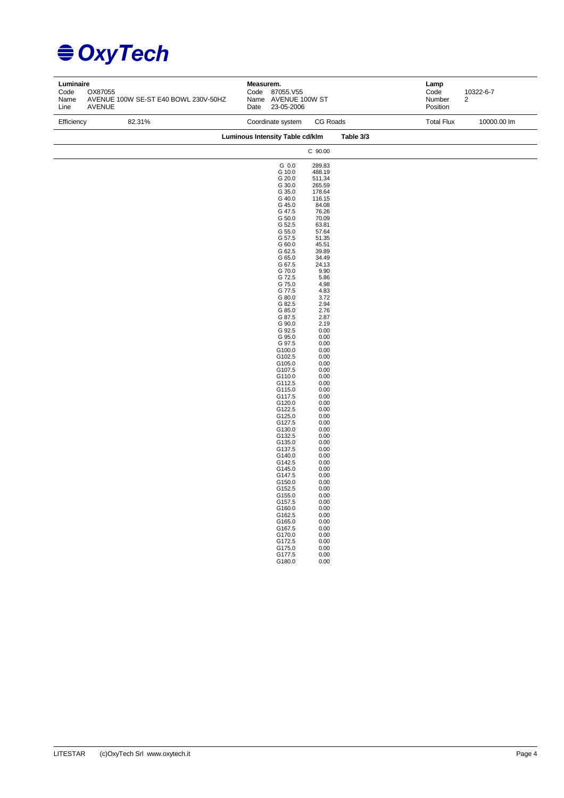| Luminaire<br>Code<br>Name<br>Line | OX87055<br>AVENUE 100W SE-ST E40 BOWL 230V-50HZ<br><b>AVENUE</b> | Measurem.<br>Code<br>87055.V55<br>Name AVENUE 100W ST<br>Date<br>23-05-2006                                                                                                                                                                                                                                                                                                                                                                                                                                                                                                                                         |                                                                                                                                                                                                                                                                                                                                                                                                                                                                                                                    |           | Lamp<br>Code<br>Number<br>Position | 10322-6-7<br>2 |
|-----------------------------------|------------------------------------------------------------------|---------------------------------------------------------------------------------------------------------------------------------------------------------------------------------------------------------------------------------------------------------------------------------------------------------------------------------------------------------------------------------------------------------------------------------------------------------------------------------------------------------------------------------------------------------------------------------------------------------------------|--------------------------------------------------------------------------------------------------------------------------------------------------------------------------------------------------------------------------------------------------------------------------------------------------------------------------------------------------------------------------------------------------------------------------------------------------------------------------------------------------------------------|-----------|------------------------------------|----------------|
| Efficiency                        | 82.31%                                                           | Coordinate system                                                                                                                                                                                                                                                                                                                                                                                                                                                                                                                                                                                                   | CG Roads                                                                                                                                                                                                                                                                                                                                                                                                                                                                                                           |           | <b>Total Flux</b>                  | 10000.00 lm    |
|                                   |                                                                  | Luminous Intensity Table cd/klm                                                                                                                                                                                                                                                                                                                                                                                                                                                                                                                                                                                     |                                                                                                                                                                                                                                                                                                                                                                                                                                                                                                                    | Table 3/3 |                                    |                |
|                                   |                                                                  |                                                                                                                                                                                                                                                                                                                                                                                                                                                                                                                                                                                                                     | C 90.00                                                                                                                                                                                                                                                                                                                                                                                                                                                                                                            |           |                                    |                |
|                                   |                                                                  | G 0.0<br>G 10.0<br>G 20.0<br>G 30.0<br>G 35.0<br>G 40.0<br>G 45.0<br>G 47.5<br>G 50.0<br>G 52.5<br>G 55.0<br>G 57.5<br>G 60.0<br>G 62.5<br>G 65.0<br>G 67.5<br>G 70.0<br>G 72.5<br>G 75.0<br>G 77.5<br>G 80.0<br>G 82.5<br>G 85.0<br>G 87.5<br>G 90.0<br>G 92.5<br>G 95.0<br>G 97.5<br>G100.0<br>G102.5<br>G105.0<br>G107.5<br>G110.0<br>G112.5<br>G115.0<br>G117.5<br>G120.0<br>G122.5<br>G125.0<br>G127.5<br>G130.0<br>G132.5<br>G135.0<br>G137.5<br>G140.0<br>G142.5<br>G145.0<br>G147.5<br>G150.0<br>G152.5<br>G155.0<br>G157.5<br>G160.0<br>G162.5<br>G165.0<br>G167.5<br>G170.0<br>G172.5<br>G175.0<br>G177.5 | 289.83<br>488.19<br>511.34<br>265.59<br>178.64<br>116.15<br>84.08<br>76.26<br>70.09<br>63.81<br>57.64<br>51.35<br>45.51<br>39.89<br>34.49<br>24.13<br>9.90<br>5.86<br>4.98<br>4.83<br>3.72<br>2.94<br>2.76<br>2.87<br>2.19<br>0.00<br>0.00<br>0.00<br>0.00<br>0.00<br>0.00<br>0.00<br>0.00<br>0.00<br>0.00<br>0.00<br>0.00<br>0.00<br>0.00<br>0.00<br>0.00<br>0.00<br>0.00<br>0.00<br>0.00<br>0.00<br>0.00<br>0.00<br>0.00<br>0.00<br>0.00<br>0.00<br>0.00<br>0.00<br>0.00<br>0.00<br>0.00<br>0.00<br>0.00<br>0.00 |           |                                    |                |
|                                   |                                                                  | G180.0                                                                                                                                                                                                                                                                                                                                                                                                                                                                                                                                                                                                              | 0.00                                                                                                                                                                                                                                                                                                                                                                                                                                                                                                               |           |                                    |                |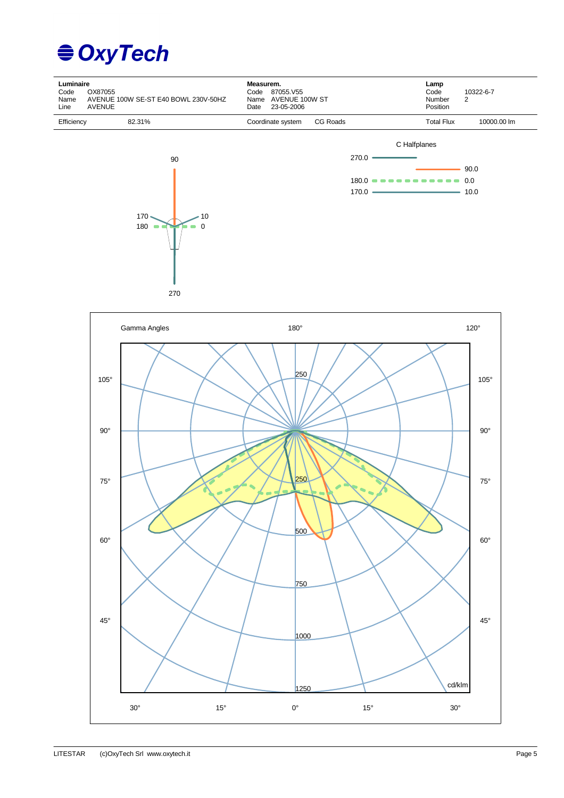## **€ OxyTech**



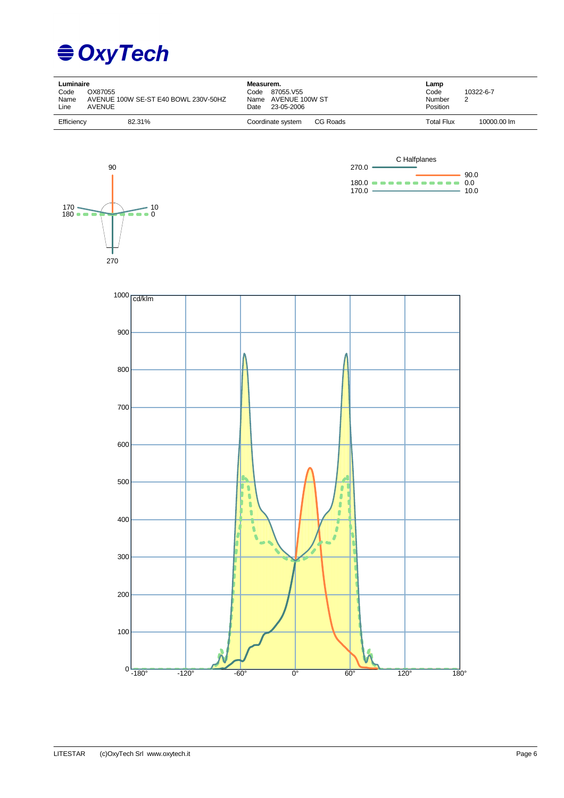

| Luminaire<br>OX87055<br>Code<br>Name<br>AVENUE 100W SE-ST E40 BOWL 230V-50HZ<br>Line<br>AVENUE | Measurem.<br>87055.V55<br>Code<br>AVENUE 100W ST<br>Name<br>23-05-2006<br>Date | Lamp<br>Code<br>10322-6-7<br>Number<br>2<br>Position |
|------------------------------------------------------------------------------------------------|--------------------------------------------------------------------------------|------------------------------------------------------|
| Efficiency                                                                                     | CG Roads                                                                       | Total Flux                                           |
| 82.31%                                                                                         | Coordinate system                                                              | 10000.00 lm                                          |





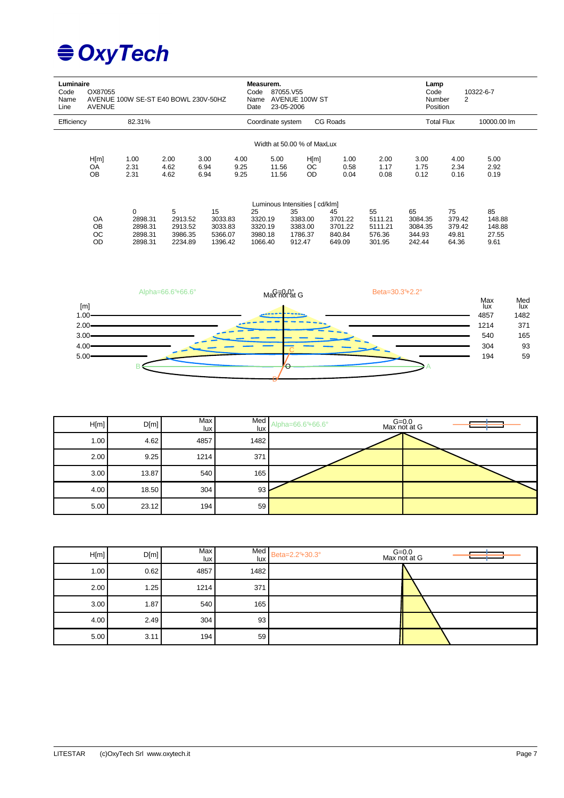| Luminaire<br>Code<br>Name<br>Line | OX87055<br><b>AVENUE</b>           | AVENUE 100W SE-ST E40 BOWL 230V-50HZ                    |                                               |                                                | Date                 | Measurem.<br>Code<br>87055.V55<br>Name<br>23-05-2006 | <b>AVENUE 100W ST</b>                                                           |                                              | Lamp<br>10322-6-7<br>Code<br>2<br><b>Number</b><br>Position |                                              |                                          |                                         |
|-----------------------------------|------------------------------------|---------------------------------------------------------|-----------------------------------------------|------------------------------------------------|----------------------|------------------------------------------------------|---------------------------------------------------------------------------------|----------------------------------------------|-------------------------------------------------------------|----------------------------------------------|------------------------------------------|-----------------------------------------|
| Efficiency                        |                                    | 82.31%                                                  |                                               |                                                |                      | Coordinate system                                    |                                                                                 | CG Roads                                     |                                                             | <b>Total Flux</b>                            |                                          | 10000.00 lm                             |
|                                   |                                    |                                                         |                                               |                                                |                      |                                                      | Width at 50.00 % of MaxLux                                                      |                                              |                                                             |                                              |                                          |                                         |
|                                   | H[m]<br>OA<br>OB                   | 1.00<br>2.31<br>2.31                                    | 2.00<br>4.62<br>4.62                          | 3.00<br>6.94<br>6.94                           | 4.00<br>9.25<br>9.25 | 5.00<br>11.56<br>11.56                               | H[m]<br><sub>OC</sub><br>OD.                                                    | 1.00<br>0.58<br>0.04                         | 2.00<br>1.17<br>0.08                                        | 3.00<br>1.75<br>0.12                         | 4.00<br>2.34<br>0.16                     | 5.00<br>2.92<br>0.19                    |
|                                   | OA<br><b>OB</b><br>ОC<br><b>OD</b> | $\mathbf 0$<br>2898.31<br>2898.31<br>2898.31<br>2898.31 | 5<br>2913.52<br>2913.52<br>3986.35<br>2234.89 | 15<br>3033.83<br>3033.83<br>5366.07<br>1396.42 |                      | 25<br>3320.19<br>3320.19<br>3980.18<br>1066.40       | Luminous Intensities [ cd/klm]<br>35<br>3383.00<br>3383.00<br>1786.37<br>912.47 | 45<br>3701.22<br>3701.22<br>840.84<br>649.09 | 55<br>5111.21<br>5111.21<br>576.36<br>301.95                | 65<br>3084.35<br>3084.35<br>344.93<br>242.44 | 75<br>379.42<br>379.42<br>49.81<br>64.36 | 85<br>148.88<br>148.88<br>27.55<br>9.61 |



| H[m] | D[m]  | Max<br>lux I | Med<br>lux | Alpha=66.6°+66.6° | G=0.0<br>Max not at G |
|------|-------|--------------|------------|-------------------|-----------------------|
| 1.00 | 4.62  | 4857         | 1482       |                   |                       |
| 2.00 | 9.25  | 1214         | 371        |                   |                       |
| 3.00 | 13.87 | 540          | 165        |                   |                       |
| 4.00 | 18.50 | 304          | 93         |                   |                       |
| 5.00 | 23.12 | 194          | 59         |                   |                       |

| H[m] | D[m] | Max<br>lux l | lux  | Med Beta=2.2 <sup>°+30.3°</sup> | G=0.0<br>Max not at G |
|------|------|--------------|------|---------------------------------|-----------------------|
| 1.00 | 0.62 | 4857         | 1482 |                                 |                       |
| 2.00 | 1.25 | 1214         | 371  |                                 |                       |
| 3.00 | 1.87 | 540          | 165  |                                 |                       |
| 4.00 | 2.49 | 304          | 93   |                                 |                       |
| 5.00 | 3.11 | 194          | 59   |                                 |                       |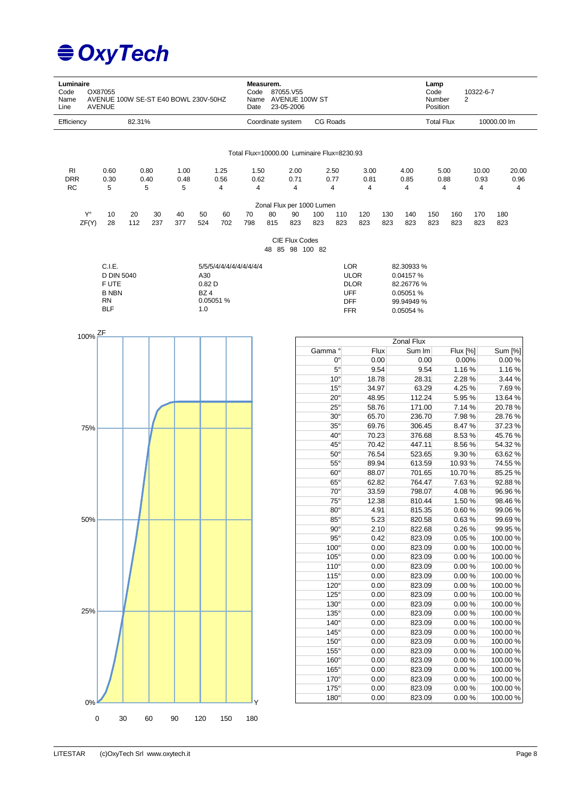| Luminaire<br>Code<br>Name<br>Line | OX87055<br>AVENUE 100W SE-ST E40 BOWL 230V-50HZ<br><b>AVENUE</b> |           |           |           |                  |           | Code<br>Date                               | Measurem.         | 87055.V55<br>23-05-2006           | Name AVENUE 100W ST       |                            |                            |            |                         | Lamp<br>Code<br>Number<br>Position | 2                  | 10322-6-7  |                    |
|-----------------------------------|------------------------------------------------------------------|-----------|-----------|-----------|------------------|-----------|--------------------------------------------|-------------------|-----------------------------------|---------------------------|----------------------------|----------------------------|------------|-------------------------|------------------------------------|--------------------|------------|--------------------|
| Efficiency                        |                                                                  | 82.31%    |           |           |                  |           |                                            | Coordinate system |                                   |                           | CG Roads                   |                            |            |                         | <b>Total Flux</b>                  |                    |            | 10000.00 lm        |
|                                   |                                                                  |           |           |           |                  |           |                                            |                   |                                   |                           |                            |                            |            |                         |                                    |                    |            |                    |
|                                   |                                                                  |           |           |           |                  |           | Total Flux=10000.00 Luminaire Flux=8230.93 |                   |                                   |                           |                            |                            |            |                         |                                    |                    |            |                    |
| RI                                | 0.60                                                             |           | 0.80      | 1.00      |                  | 1.25      | 1.50                                       |                   | 2.00                              |                           | 2.50                       | 3.00                       |            | 4.00                    |                                    | 5.00               | 10.00      | 20.00              |
| <b>DRR</b><br><b>RC</b>           | 0.30                                                             |           | 0.40      | 0.48      |                  | 0.56      | 0.62                                       |                   | 0.71                              |                           | 0.77                       | 0.81                       |            | 0.85                    |                                    | 0.88               | 0.93       | 0.96<br>4          |
|                                   | 5                                                                |           | 5         | 5         |                  | 4         | 4                                          |                   | 4                                 |                           | 4                          | 4                          |            | 4                       |                                    | 4                  | 4          |                    |
|                                   |                                                                  |           |           |           |                  |           |                                            |                   |                                   | Zonal Flux per 1000 Lumen |                            |                            |            |                         |                                    |                    |            |                    |
| Y°<br>ZF(Y)                       | 10<br>28                                                         | 20<br>112 | 30<br>237 | 40<br>377 | 50<br>524        | 60<br>702 | 70<br>798                                  | 80<br>815         | 90<br>823                         | 100<br>823                | 110<br>823                 | 120<br>823                 | 130<br>823 | 140<br>823              | 150<br>823                         | 160<br>823         | 170<br>823 | 180<br>823         |
|                                   |                                                                  |           |           |           |                  |           |                                            |                   |                                   |                           |                            |                            |            |                         |                                    |                    |            |                    |
|                                   |                                                                  |           |           |           |                  |           |                                            |                   | CIE Flux Codes<br>48 85 98 100 82 |                           |                            |                            |            |                         |                                    |                    |            |                    |
|                                   | C.I.E.                                                           |           |           |           |                  |           | 5/5/5/4/4/4/4/4/4/4/4/4                    |                   |                                   |                           |                            | LOR                        |            | 82.30933 %              |                                    |                    |            |                    |
|                                   | <b>D DIN 5040</b><br>F UTE                                       |           |           |           | A30<br>0.82D     |           |                                            |                   |                                   |                           |                            | <b>ULOR</b><br><b>DLOR</b> |            | 0.04157 %<br>82.26776 % |                                    |                    |            |                    |
|                                   | <b>B NBN</b>                                                     |           |           |           | BZ4              |           |                                            |                   |                                   |                           |                            | <b>UFF</b>                 |            | 0.05051 %               |                                    |                    |            |                    |
|                                   | RN<br><b>BLF</b>                                                 |           |           |           | 0.05051 %<br>1.0 |           |                                            |                   |                                   |                           |                            | <b>DFF</b>                 |            | 99.94949 %              |                                    |                    |            |                    |
|                                   |                                                                  |           |           |           |                  |           |                                            |                   |                                   |                           |                            | <b>FFR</b>                 |            | 0.05054 %               |                                    |                    |            |                    |
| 100% ZF                           |                                                                  |           |           |           |                  |           |                                            |                   |                                   |                           |                            |                            |            |                         |                                    |                    |            |                    |
|                                   |                                                                  |           |           |           |                  |           |                                            |                   |                                   |                           |                            |                            |            | Zonal Flux              |                                    |                    |            |                    |
|                                   |                                                                  |           |           |           |                  |           |                                            |                   |                                   | Gamma °                   |                            | Flux                       |            | Sum Im                  |                                    | Flux [%]           |            | Sum [%]            |
|                                   |                                                                  |           |           |           |                  |           |                                            |                   |                                   |                           | $0^{\circ}$<br>$5^{\circ}$ | 0.00<br>9.54               |            |                         | 0.00<br>9.54                       | 0.00%<br>1.16%     |            | 0.00%<br>1.16%     |
|                                   |                                                                  |           |           |           |                  |           |                                            |                   |                                   |                           | $10^{\circ}$               | 18.78                      |            |                         | 28.31                              | 2.28 %             |            | 3.44 %             |
|                                   |                                                                  |           |           |           |                  |           |                                            |                   |                                   |                           | $15^{\circ}$               | 34.97                      |            |                         | 63.29                              | 4.25 %             |            | 7.69%              |
|                                   |                                                                  |           |           |           |                  |           |                                            |                   |                                   |                           | $20^{\circ}$               | 48.95                      |            |                         | 112.24                             | 5.95 %             |            | 13.64%             |
|                                   |                                                                  |           |           |           |                  |           |                                            |                   |                                   |                           | $25^{\circ}$               | 58.76                      |            | 171.00                  |                                    | 7.14 %             |            | 20.78%             |
|                                   |                                                                  |           |           |           |                  |           |                                            |                   |                                   |                           | $30^\circ$                 | 65.70                      |            | 236.70                  |                                    | 7.98%              |            | 28.76%             |
| 75%                               |                                                                  |           |           |           |                  |           |                                            |                   |                                   |                           | $35^\circ$<br>$40^{\circ}$ | 69.76<br>70.23             |            | 306.45<br>376.68        |                                    | 8.47%<br>8.53%     |            | 37.23%<br>45.76%   |
|                                   |                                                                  |           |           |           |                  |           |                                            |                   |                                   |                           | $45^{\circ}$               | 70.42                      |            | 447.11                  |                                    | 8.56%              |            | 54.32%             |
|                                   |                                                                  |           |           |           |                  |           |                                            |                   |                                   |                           | $50^\circ$                 | 76.54                      |            | 523.65                  |                                    | 9.30 %             |            | 63.62%             |
|                                   |                                                                  |           |           |           |                  |           |                                            |                   |                                   |                           | $55^{\circ}$               | 89.94                      |            |                         | 613.59                             | 10.93 %            |            | 74.55%             |
|                                   |                                                                  |           |           |           |                  |           |                                            |                   |                                   |                           | $60^\circ$                 | 88.07                      |            |                         | 701.65                             | 10.70%             |            | 85.25%             |
|                                   |                                                                  |           |           |           |                  |           |                                            |                   |                                   |                           | $65^\circ$                 | 62.82                      |            | 764.47                  |                                    | 7.63%              |            | 92.88%             |
|                                   |                                                                  |           |           |           |                  |           |                                            |                   |                                   |                           | $70^\circ$                 | 33.59                      |            | 798.07                  |                                    | 4.08%              |            | 96.96%             |
|                                   |                                                                  |           |           |           |                  |           |                                            |                   |                                   |                           | $75^\circ$                 | 12.38                      |            | 810.44                  |                                    | 1.50 %             |            | 98.46%             |
| 50%                               |                                                                  |           |           |           |                  |           |                                            |                   |                                   |                           | $80^\circ$<br>$85^\circ$   | 4.91<br>5.23               |            | 815.35<br>820.58        |                                    | 0.60%<br>0.63%     |            | 99.06%<br>99.69%   |
|                                   |                                                                  |           |           |           |                  |           |                                            |                   |                                   |                           | $90^\circ$                 | 2.10                       |            | 822.68                  |                                    | 0.26%              |            | 99.95%             |
|                                   |                                                                  |           |           |           |                  |           |                                            |                   |                                   |                           | $95^\circ$                 | 0.42                       |            | 823.09                  |                                    | 0.05%              |            | 100.00%            |
|                                   |                                                                  |           |           |           |                  |           |                                            |                   |                                   |                           | $100^\circ$                | 0.00                       |            | 823.09                  |                                    | 0.00%              |            | 100.00%            |
|                                   |                                                                  |           |           |           |                  |           |                                            |                   |                                   |                           | $105^\circ$                | 0.00                       |            | 823.09                  |                                    | $0.00 \%$          |            | 100.00%            |
|                                   |                                                                  |           |           |           |                  |           |                                            |                   |                                   |                           | 110°                       | 0.00                       |            | 823.09                  |                                    | 0.00%              |            | 100.00%            |
|                                   |                                                                  |           |           |           |                  |           |                                            |                   |                                   |                           | 115°                       | 0.00                       |            | 823.09                  |                                    | $0.00 \%$          |            | 100.00%            |
|                                   |                                                                  |           |           |           |                  |           |                                            |                   |                                   |                           | $120^\circ$<br>$125^\circ$ | 0.00<br>0.00               |            | 823.09<br>823.09        |                                    | 0.00%<br>0.00%     |            | 100.00%<br>100.00% |
|                                   |                                                                  |           |           |           |                  |           |                                            |                   |                                   |                           | $130^\circ$                | 0.00                       |            | 823.09                  |                                    | 0.00%              |            | 100.00%            |
| 25%                               |                                                                  |           |           |           |                  |           |                                            |                   |                                   |                           | $135^\circ$                | 0.00                       |            | 823.09                  |                                    | 0.00%              |            | 100.00%            |
|                                   |                                                                  |           |           |           |                  |           |                                            |                   |                                   |                           | $140^\circ$                | 0.00                       |            | 823.09                  |                                    | 0.00%              |            | 100.00%            |
|                                   |                                                                  |           |           |           |                  |           |                                            |                   |                                   |                           | $145^\circ$                | 0.00                       |            | 823.09                  |                                    | $0.00 \%$          |            | 100.00%            |
|                                   |                                                                  |           |           |           |                  |           |                                            |                   |                                   |                           | $150^\circ$                | 0.00                       |            | 823.09                  |                                    | 0.00%              |            | 100.00%            |
|                                   |                                                                  |           |           |           |                  |           |                                            |                   |                                   |                           | $155^\circ$                | 0.00                       |            | 823.09                  |                                    | 0.00%              |            | 100.00%            |
|                                   |                                                                  |           |           |           |                  |           |                                            |                   |                                   |                           | $160^\circ$<br>$165^\circ$ | 0.00<br>0.00               |            | 823.09                  |                                    | 0.00%              |            | 100.00%<br>100.00% |
|                                   |                                                                  |           |           |           |                  |           |                                            |                   |                                   |                           | 170°                       | 0.00                       |            | 823.09<br>823.09        |                                    | 0.00%<br>$0.00 \%$ |            | 100.00%            |
|                                   |                                                                  |           |           |           |                  |           |                                            |                   |                                   |                           | $175^\circ$                | 0.00                       |            | 823.09                  |                                    | $0.00 \%$          |            | 100.00%            |
|                                   |                                                                  |           |           |           |                  |           |                                            |                   |                                   |                           | $180^\circ$                | 0.00                       |            | 823.09                  |                                    | $0.00 \%$          |            | 100.00%            |

0 30 60 90 120 150 180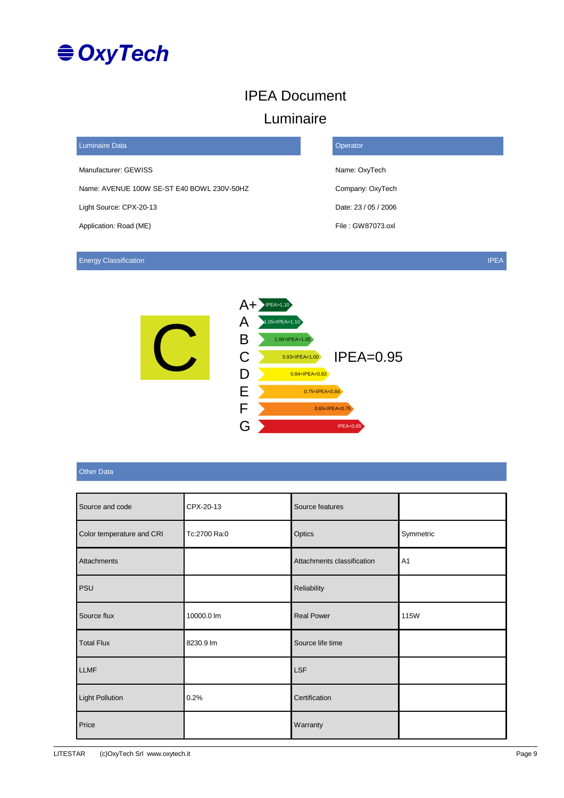

### IPEA Document

#### Luminaire

| <b>Luminaire Data</b>                      | Operator             |
|--------------------------------------------|----------------------|
| Manufacturer: GEWISS                       | Name: OxyTech        |
| Name: AVENUE 100W SE-ST E40 BOWL 230V-50HZ | Company: OxyTech     |
| Light Source: CPX-20-13                    | Date: 23 / 05 / 2006 |
| Application: Road (ME)                     | File: GW87073.oxl    |
|                                            |                      |

Energy Classification **IPEA** 



#### Other Data

| Source and code           | CPX-20-13    | Source features            |                |
|---------------------------|--------------|----------------------------|----------------|
| Color temperature and CRI | Tc:2700 Ra:0 | Optics                     | Symmetric      |
| Attachments               |              | Attachments classification | A <sub>1</sub> |
| <b>PSU</b>                |              | Reliability                |                |
| Source flux               | 10000.0 lm   | <b>Real Power</b>          | 115W           |
| <b>Total Flux</b>         | 8230.9 lm    | Source life time           |                |
| <b>LLMF</b>               |              | <b>LSF</b>                 |                |
| <b>Light Pollution</b>    | 0.2%         | Certification              |                |
| Price                     |              | Warranty                   |                |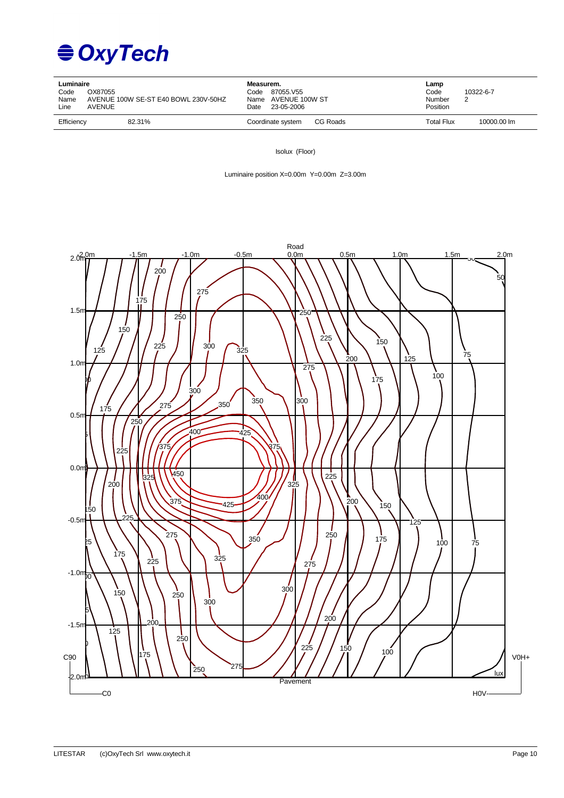

| Luminaire<br>OX87055<br>Code<br>Name<br>Line<br>AVENUE | AVENUE 100W SE-ST E40 BOWL 230V-50HZ | Measurem.<br>87055.V55<br>Code<br>Name AVENUE 100W ST<br>23-05-2006<br>Date | Lamp<br>Code<br>Number<br>Position | 10322-6-7   |
|--------------------------------------------------------|--------------------------------------|-----------------------------------------------------------------------------|------------------------------------|-------------|
| Efficiency                                             | 82.31%                               | CG Roads<br>Coordinate system                                               | <b>Total Flux</b>                  | 10000.00 lm |

Isolux (Floor)

Luminaire position X=0.00m Y=0.00m Z=3.00m

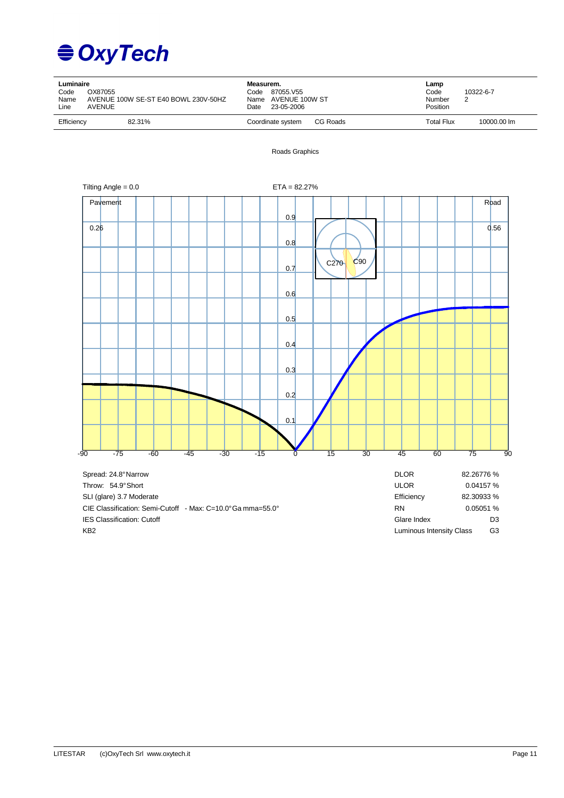

| Code<br>Name<br>Line | Luminaire<br>OX87055<br>AVENUE 100W SE-ST E40 BOWL 230V-50HZ<br><b>AVENUE</b> |  |  |                               |  | Measurem.<br>Code 87055.V55<br>Name AVENUE 100W ST<br>23-05-2006 |      | Lamp<br>Code<br>Number<br>Position | 10322-6-7<br>$\overline{2}$ |             |      |
|----------------------|-------------------------------------------------------------------------------|--|--|-------------------------------|--|------------------------------------------------------------------|------|------------------------------------|-----------------------------|-------------|------|
|                      | Efficiency<br>82.31%                                                          |  |  | CG Roads<br>Coordinate system |  |                                                                  |      |                                    | <b>Total Flux</b>           | 10000.00 lm |      |
|                      |                                                                               |  |  |                               |  | Roads Graphics                                                   |      |                                    |                             |             |      |
|                      | Tilting Angle = $0.0$                                                         |  |  |                               |  | $ETA = 82.27%$                                                   |      |                                    |                             |             |      |
|                      | Pavement                                                                      |  |  |                               |  | 0.9                                                              |      |                                    |                             |             | Road |
|                      | 0.26                                                                          |  |  |                               |  | 0.8                                                              |      |                                    |                             |             | 0.56 |
|                      |                                                                               |  |  |                               |  | 0.7                                                              | C270 | C90                                |                             |             |      |
|                      |                                                                               |  |  |                               |  | 0.6                                                              |      |                                    |                             |             |      |
|                      |                                                                               |  |  |                               |  | 0.5                                                              |      |                                    |                             |             |      |
|                      |                                                                               |  |  |                               |  | 0.4                                                              |      |                                    |                             |             |      |
|                      |                                                                               |  |  |                               |  | 0.3                                                              |      |                                    |                             |             |      |
|                      |                                                                               |  |  |                               |  | 0.2                                                              |      |                                    |                             |             |      |
|                      |                                                                               |  |  |                               |  | 0.1                                                              |      |                                    |                             |             |      |

-90 -75 -60 -45 -30 -15 0 15 30 45 60 75 90

| Spread: 24.8°Narrow                                         | <b>DLOR</b>              | 82.26776 %     |
|-------------------------------------------------------------|--------------------------|----------------|
| Throw: 54.9°Short                                           | <b>ULOR</b>              | 0.04157%       |
| SLI (glare) 3.7 Moderate                                    | Efficiency               | 82.30933 %     |
| CIE Classification: Semi-Cutoff - Max: C=10.0° Ga mma=55.0° | <b>RN</b>                | 0.05051%       |
| <b>IES Classification: Cutoff</b>                           | Glare Index              | D <sub>3</sub> |
| KB <sub>2</sub>                                             | Luminous Intensity Class | G3             |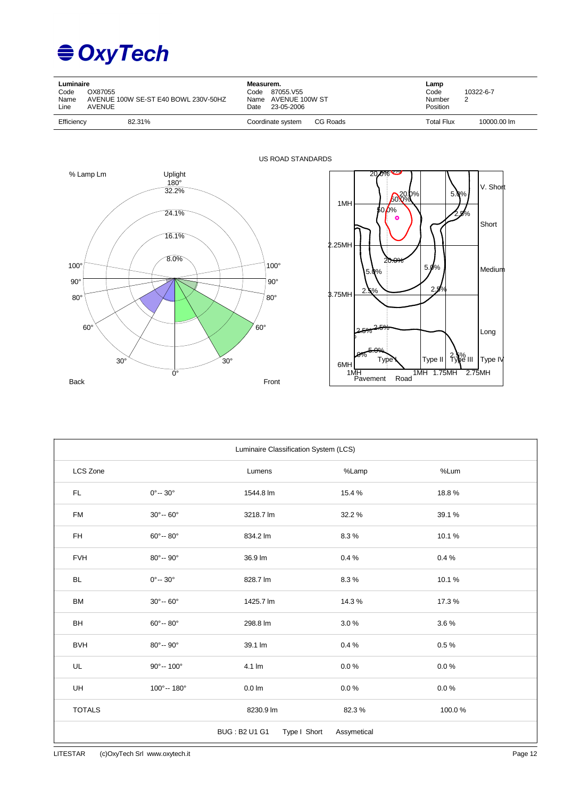## **€ OxyTech**

| Luminaire<br>Code<br>Name<br>Line | OX87055<br>AVENUE 100W SE-ST E40 BOWL 230V-50HZ<br>AVENUE | Measurem.<br>87055.V55<br>Code<br>Name AVENUE 100W ST<br>23-05-2006<br>Date | Lamp<br>Code<br>Number<br>Position | 10322-6-7<br>ົ |
|-----------------------------------|-----------------------------------------------------------|-----------------------------------------------------------------------------|------------------------------------|----------------|
| Efficiency                        | 82.31%                                                    | CG Roads<br>Coordinate system                                               | Total Flux                         | 10000.00 lm    |





| Luminaire Classification System (LCS) |                            |                                      |             |        |  |  |  |  |  |  |
|---------------------------------------|----------------------------|--------------------------------------|-------------|--------|--|--|--|--|--|--|
| LCS Zone                              |                            | Lumens                               | %Lamp       | %Lum   |  |  |  |  |  |  |
| FL.                                   | $0^{\circ} - 30^{\circ}$   | 1544.8 lm                            | 15.4%       | 18.8%  |  |  |  |  |  |  |
| <b>FM</b>                             | $30^{\circ} - 60^{\circ}$  | 3218.7 lm                            | 32.2%       | 39.1%  |  |  |  |  |  |  |
| FH                                    | $60^\circ - 80^\circ$      | 834.2 lm                             | 8.3%        | 10.1%  |  |  |  |  |  |  |
| <b>FVH</b>                            | $80^{\circ} - 90^{\circ}$  | 36.9 lm                              | 0.4%        | 0.4%   |  |  |  |  |  |  |
| <b>BL</b>                             | $0^{\circ} - 30^{\circ}$   | 828.7 lm                             | 8.3%        | 10.1%  |  |  |  |  |  |  |
| <b>BM</b>                             | $30^{\circ} - 60^{\circ}$  | 1425.7 lm                            | 14.3%       | 17.3%  |  |  |  |  |  |  |
| BH                                    | $60^{\circ} - 80^{\circ}$  | 298.8 lm                             | 3.0%        | 3.6%   |  |  |  |  |  |  |
| <b>BVH</b>                            | $80^\circ - 90^\circ$      | 39.1 lm                              | 0.4%        | 0.5%   |  |  |  |  |  |  |
| UL                                    | $90^{\circ} - 100^{\circ}$ | 4.1 lm                               | $0.0 \%$    | 0.0%   |  |  |  |  |  |  |
| <b>UH</b>                             | 100°-- 180°                | $0.0 \text{ Im}$                     | $0.0 \%$    | 0.0%   |  |  |  |  |  |  |
| <b>TOTALS</b>                         |                            | 8230.9 lm                            | 82.3%       | 100.0% |  |  |  |  |  |  |
|                                       |                            | <b>BUG: B2 U1 G1</b><br>Type I Short | Assymetical |        |  |  |  |  |  |  |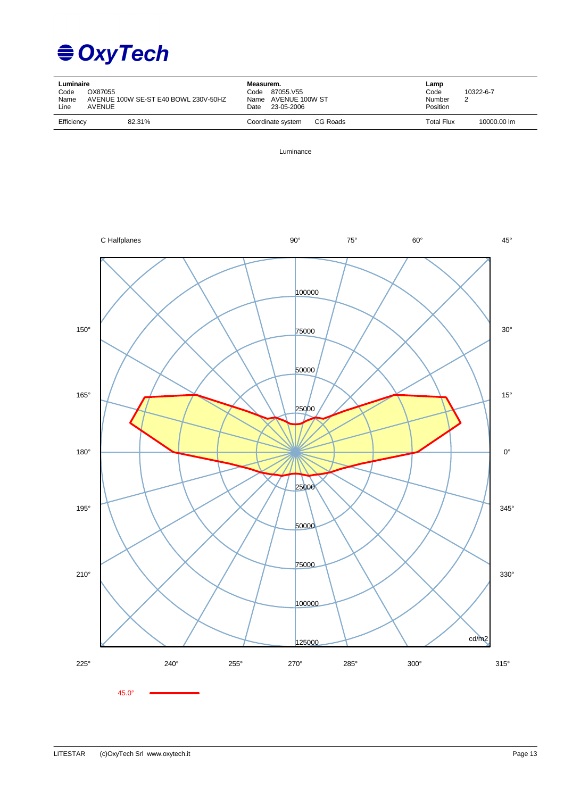

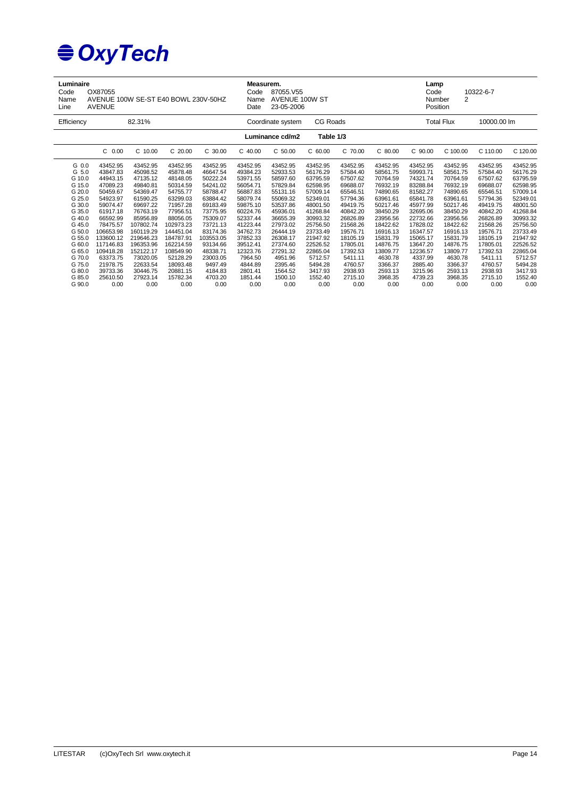| Luminaire<br>OX87055<br>Code<br>AVENUE 100W SE-ST E40 BOWL 230V-50HZ<br>Name<br><b>AVENUE</b><br>Line                        |                                                                                                                                                             |                                                                                                                                                              |                                                                                                                                                              |                                                                                                                                                           | Measurem.<br>Code<br>Name<br>Date                                                                                                                        | 87055.V55<br>AVENUE 100W ST<br>23-05-2006                                                                                                                |                                                                                                                                                          |                                                                                                                                                          |                                                                                                                                                          | Lamp<br>Code<br>10322-6-7<br>$\overline{2}$<br>Number<br>Position                                                                                        |                                                                                                                                                          |                                                                                                                                                          |                                                                                                                                                          |  |
|------------------------------------------------------------------------------------------------------------------------------|-------------------------------------------------------------------------------------------------------------------------------------------------------------|--------------------------------------------------------------------------------------------------------------------------------------------------------------|--------------------------------------------------------------------------------------------------------------------------------------------------------------|-----------------------------------------------------------------------------------------------------------------------------------------------------------|----------------------------------------------------------------------------------------------------------------------------------------------------------|----------------------------------------------------------------------------------------------------------------------------------------------------------|----------------------------------------------------------------------------------------------------------------------------------------------------------|----------------------------------------------------------------------------------------------------------------------------------------------------------|----------------------------------------------------------------------------------------------------------------------------------------------------------|----------------------------------------------------------------------------------------------------------------------------------------------------------|----------------------------------------------------------------------------------------------------------------------------------------------------------|----------------------------------------------------------------------------------------------------------------------------------------------------------|----------------------------------------------------------------------------------------------------------------------------------------------------------|--|
| 82.31%<br>Efficiency                                                                                                         |                                                                                                                                                             |                                                                                                                                                              |                                                                                                                                                              |                                                                                                                                                           |                                                                                                                                                          | CG Roads<br>Coordinate system                                                                                                                            |                                                                                                                                                          |                                                                                                                                                          |                                                                                                                                                          |                                                                                                                                                          | <b>Total Flux</b>                                                                                                                                        |                                                                                                                                                          | 10000.00 lm                                                                                                                                              |  |
|                                                                                                                              |                                                                                                                                                             |                                                                                                                                                              |                                                                                                                                                              |                                                                                                                                                           |                                                                                                                                                          | Luminance cd/m2                                                                                                                                          | Table 1/3                                                                                                                                                |                                                                                                                                                          |                                                                                                                                                          |                                                                                                                                                          |                                                                                                                                                          |                                                                                                                                                          |                                                                                                                                                          |  |
|                                                                                                                              | $C$ 0.00                                                                                                                                                    | $C$ 10.00                                                                                                                                                    | $C$ 20.00                                                                                                                                                    | C 30.00                                                                                                                                                   | $C$ 40.00                                                                                                                                                | $C$ 50.00                                                                                                                                                | $C$ 60.00                                                                                                                                                | C 70.00                                                                                                                                                  | $C$ 80.00                                                                                                                                                | C 90.00                                                                                                                                                  | C 100.00                                                                                                                                                 | C 110.00                                                                                                                                                 | C 120.00                                                                                                                                                 |  |
| G 0.0<br>G 5.0<br>G 10.0<br>G 15.0<br>G 20.0<br>G 25.0<br>G 30.0<br>G 35.0<br>G 40.0<br>G 45.0<br>G 50.0<br>G 55.0<br>G 60.0 | 43452.95<br>43847.83<br>44943.15<br>47089.23<br>50459.67<br>54923.97<br>59074.47<br>61917.18<br>66592.99<br>78475.57<br>106653.98<br>133600.12<br>117146.83 | 43452.95<br>45098.52<br>47135.12<br>49840.81<br>54369.47<br>61590.25<br>69697.22<br>76763.19<br>85956.89<br>107802.74<br>160119.29<br>219646.23<br>196353.96 | 43452.95<br>45878.48<br>48148.05<br>50314.59<br>54755.77<br>63299.03<br>71957.28<br>77956.51<br>88056.05<br>102973.23<br>144451.04<br>184787.91<br>162214.59 | 43452.95<br>46647.54<br>50222.24<br>54241.02<br>58788.47<br>63884.42<br>69183.49<br>73775.95<br>75309.07<br>73721.13<br>83174.36<br>103553.05<br>93134.66 | 43452.95<br>49384.23<br>53971.55<br>56054.71<br>56887.83<br>58079.74<br>59875.10<br>60224.76<br>52337.44<br>41223.44<br>34762.73<br>37852.33<br>39512.41 | 43452.95<br>52933.53<br>58597.60<br>57829.84<br>55131.16<br>55069.32<br>53537.86<br>45936.01<br>36655.39<br>27973.02<br>26444.19<br>26308.17<br>27374.60 | 43452.95<br>56176.29<br>63795.59<br>62598.95<br>57009.14<br>52349.01<br>48001.50<br>41268.84<br>30993.32<br>25756.50<br>23733.49<br>21947.92<br>22526.52 | 43452.95<br>57584.40<br>67507.62<br>69688.07<br>65546.51<br>57794.36<br>49419.75<br>40842.20<br>26826.89<br>21568.26<br>19576.71<br>18105.19<br>17805.01 | 43452.95<br>58561.75<br>70764.59<br>76932.19<br>74890.65<br>63961.61<br>50217.46<br>38450.29<br>23956.56<br>18422.62<br>16916.13<br>15831.79<br>14876.75 | 43452.95<br>59993.71<br>74321.74<br>83288.84<br>81582.27<br>65841.78<br>45977.99<br>32695.06<br>22732.66<br>17828.02<br>16347.57<br>15065.17<br>13647.20 | 43452.95<br>58561.75<br>70764.59<br>76932.19<br>74890.65<br>63961.61<br>50217.46<br>38450.29<br>23956.56<br>18422.62<br>16916.13<br>15831.79<br>14876.75 | 43452.95<br>57584.40<br>67507.62<br>69688.07<br>65546.51<br>57794.36<br>49419.75<br>40842.20<br>26826.89<br>21568.26<br>19576.71<br>18105.19<br>17805.01 | 43452.95<br>56176.29<br>63795.59<br>62598.95<br>57009.14<br>52349.01<br>48001.50<br>41268.84<br>30993.32<br>25756.50<br>23733.49<br>21947.92<br>22526.52 |  |
| G 65.0<br>G 70.0<br>G 75.0<br>G 80.0<br>G 85.0<br>G 90.0                                                                     | 109418.28<br>63373.75<br>21978.75<br>39733.36<br>25610.50<br>0.00                                                                                           | 152122.17<br>73020.05<br>22633.54<br>30446.75<br>27923.14<br>0.00                                                                                            | 108549.90<br>52128.29<br>18093.48<br>20881.15<br>15782.34<br>0.00                                                                                            | 48338.71<br>23003.05<br>9497.49<br>4184.83<br>4703.20<br>0.00                                                                                             | 12323.76<br>7964.50<br>4844.89<br>2801.41<br>1851.44<br>0.00                                                                                             | 27291.32<br>4951.96<br>2395.46<br>1564.52<br>1500.10<br>0.00                                                                                             | 22865.04<br>5712.57<br>5494.28<br>3417.93<br>1552.40<br>0.00                                                                                             | 17392.53<br>5411.11<br>4760.57<br>2938.93<br>2715.10<br>0.00                                                                                             | 13809.77<br>4630.78<br>3366.37<br>2593.13<br>3968.35<br>0.00                                                                                             | 12236.57<br>4337.99<br>2885.40<br>3215.96<br>4739.23<br>0.00                                                                                             | 13809.77<br>4630.78<br>3366.37<br>2593.13<br>3968.35<br>0.00                                                                                             | 17392.53<br>5411.11<br>4760.57<br>2938.93<br>2715.10<br>0.00                                                                                             | 22865.04<br>5712.57<br>5494.28<br>3417.93<br>1552.40<br>0.00                                                                                             |  |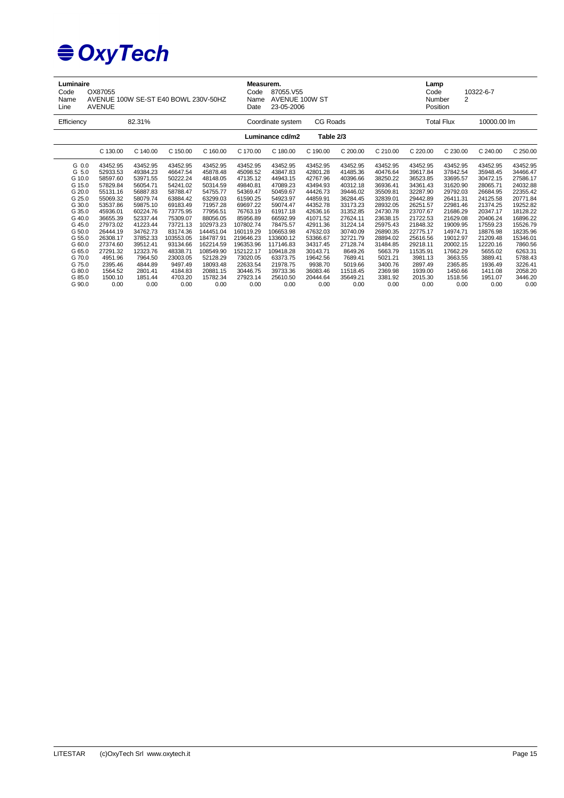| Luminaire<br>OX87055<br>Code<br>AVENUE 100W SE-ST E40 BOWL 230V-50HZ<br>Name<br>Line<br><b>AVENUE</b>                        |                                                                                                                                                          |                                                                                                                                                          |                                                                                                                                                           | Code<br>Name<br>Date                                                                                                                                         | Measurem.<br>87055.V55<br>AVENUE 100W ST<br>23-05-2006                                                                                                       |                                                                                                                                                             |                                                                                                                                                          | Lamp<br>10322-6-7<br>Code<br>$\overline{2}$<br>Number<br>Position                                                                                        |                                                                                                                                                          |                                                                                                                                                          |                                                                                                                                                          |                                                                                                                                                          |                                                                                                                                                         |
|------------------------------------------------------------------------------------------------------------------------------|----------------------------------------------------------------------------------------------------------------------------------------------------------|----------------------------------------------------------------------------------------------------------------------------------------------------------|-----------------------------------------------------------------------------------------------------------------------------------------------------------|--------------------------------------------------------------------------------------------------------------------------------------------------------------|--------------------------------------------------------------------------------------------------------------------------------------------------------------|-------------------------------------------------------------------------------------------------------------------------------------------------------------|----------------------------------------------------------------------------------------------------------------------------------------------------------|----------------------------------------------------------------------------------------------------------------------------------------------------------|----------------------------------------------------------------------------------------------------------------------------------------------------------|----------------------------------------------------------------------------------------------------------------------------------------------------------|----------------------------------------------------------------------------------------------------------------------------------------------------------|----------------------------------------------------------------------------------------------------------------------------------------------------------|---------------------------------------------------------------------------------------------------------------------------------------------------------|
| Efficiency                                                                                                                   |                                                                                                                                                          | 82.31%                                                                                                                                                   |                                                                                                                                                           |                                                                                                                                                              |                                                                                                                                                              | Coordinate system                                                                                                                                           | CG Roads                                                                                                                                                 |                                                                                                                                                          |                                                                                                                                                          | <b>Total Flux</b>                                                                                                                                        |                                                                                                                                                          | 10000.00 lm                                                                                                                                              |                                                                                                                                                         |
|                                                                                                                              |                                                                                                                                                          |                                                                                                                                                          |                                                                                                                                                           |                                                                                                                                                              |                                                                                                                                                              | Luminance cd/m2                                                                                                                                             | Table 2/3                                                                                                                                                |                                                                                                                                                          |                                                                                                                                                          |                                                                                                                                                          |                                                                                                                                                          |                                                                                                                                                          |                                                                                                                                                         |
|                                                                                                                              | C 130.00                                                                                                                                                 | C 140.00                                                                                                                                                 | C 150.00                                                                                                                                                  | C 160.00                                                                                                                                                     | C 170.00                                                                                                                                                     | C 180.00                                                                                                                                                    | C 190.00                                                                                                                                                 | C 200.00                                                                                                                                                 | C 210.00                                                                                                                                                 | C 220.00                                                                                                                                                 | C 230.00                                                                                                                                                 | C 240.00                                                                                                                                                 | C 250.00                                                                                                                                                |
| G 0.0<br>G 5.0<br>G 10.0<br>G 15.0<br>G 20.0<br>G 25.0<br>G 30.0<br>G 35.0<br>G 40.0<br>G 45.0<br>G 50.0<br>G 55.0<br>G 60.0 | 43452.95<br>52933.53<br>58597.60<br>57829.84<br>55131.16<br>55069.32<br>53537.86<br>45936.01<br>36655.39<br>27973.02<br>26444.19<br>26308.17<br>27374.60 | 43452.95<br>49384.23<br>53971.55<br>56054.71<br>56887.83<br>58079.74<br>59875.10<br>60224.76<br>52337.44<br>41223.44<br>34762.73<br>37852.33<br>39512.41 | 43452.95<br>46647.54<br>50222.24<br>54241.02<br>58788.47<br>63884.42<br>69183.49<br>73775.95<br>75309.07<br>73721.13<br>83174.36<br>103553.05<br>93134.66 | 43452.95<br>45878.48<br>48148.05<br>50314.59<br>54755.77<br>63299.03<br>71957.28<br>77956.51<br>88056.05<br>102973.23<br>144451.04<br>184787.91<br>162214.59 | 43452.95<br>45098.52<br>47135.12<br>49840.81<br>54369.47<br>61590.25<br>69697.22<br>76763.19<br>85956.89<br>107802.74<br>160119.29<br>219646.23<br>196353.96 | 43452.95<br>43847.83<br>44943.15<br>47089.23<br>50459.67<br>54923.97<br>59074.47<br>61917.18<br>66592.99<br>78475.57<br>106653.98<br>133600.12<br>117146.83 | 43452.95<br>42801.28<br>42767.96<br>43494.93<br>44426.73<br>44859.91<br>44352.78<br>42636.16<br>41071.52<br>42911.36<br>47632.03<br>53366.67<br>34317.45 | 43452.95<br>41485.36<br>40396.66<br>40312.18<br>39446.02<br>36284.45<br>33173.23<br>31352.85<br>27624.11<br>31224.14<br>30740.09<br>32721.79<br>27128.74 | 43452.95<br>40476.64<br>38250.22<br>36936.41<br>35509.81<br>32839.01<br>28932.05<br>24730.78<br>23638.15<br>25975.43<br>26890.35<br>28894.02<br>31484.85 | 43452.95<br>39617.84<br>36523.85<br>34361.43<br>32287.90<br>29442.89<br>26251.57<br>23707.67<br>21722.53<br>21848.32<br>22775.17<br>25616.56<br>29218.11 | 43452.95<br>37842.54<br>33695.57<br>31620.90<br>29792.03<br>26411.31<br>22981.46<br>21686.29<br>21629.08<br>19009.95<br>14974.71<br>19012.97<br>20002.15 | 43452.95<br>35948.45<br>30472.15<br>28065.71<br>26684.95<br>24125.58<br>21374.25<br>20347.17<br>20406.24<br>17559.23<br>18876.98<br>21209.48<br>12220.16 | 43452.95<br>34466.47<br>27586.17<br>24032.88<br>22355.42<br>20771.84<br>19252.82<br>18128.22<br>16896.22<br>15526.79<br>18235.96<br>15346.01<br>7860.56 |
| G 65.0<br>G 70.0<br>G 75.0<br>G 80.0<br>G 85.0<br>G 90.0                                                                     | 27291.32<br>4951.96<br>2395.46<br>1564.52<br>1500.10<br>0.00                                                                                             | 12323.76<br>7964.50<br>4844.89<br>2801.41<br>1851.44<br>0.00                                                                                             | 48338.71<br>23003.05<br>9497.49<br>4184.83<br>4703.20<br>0.00                                                                                             | 108549.90<br>52128.29<br>18093.48<br>20881.15<br>15782.34<br>0.00                                                                                            | 152122.17<br>73020.05<br>22633.54<br>30446.75<br>27923.14<br>0.00                                                                                            | 109418.28<br>63373.75<br>21978.75<br>39733.36<br>25610.50<br>0.00                                                                                           | 30143.71<br>19642.56<br>9938.70<br>36083.46<br>20444.64<br>0.00                                                                                          | 8649.26<br>7689.41<br>5019.66<br>11518.45<br>35649.21<br>0.00                                                                                            | 5663.79<br>5021.21<br>3400.76<br>2369.98<br>3381.92<br>0.00                                                                                              | 11535.91<br>3981.13<br>2897.49<br>1939.00<br>2015.30<br>0.00                                                                                             | 17662.29<br>3663.55<br>2365.85<br>1450.66<br>1518.56<br>0.00                                                                                             | 5655.02<br>3889.41<br>1936.49<br>1411.08<br>1951.07<br>0.00                                                                                              | 6263.31<br>5788.43<br>3226.41<br>2058.20<br>3446.20<br>0.00                                                                                             |